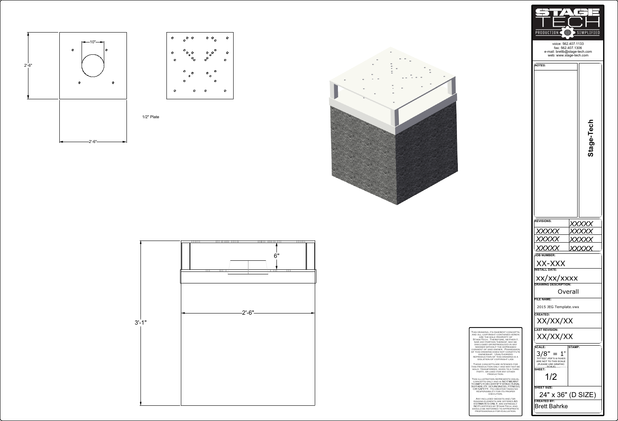This drawing, its inherent concepts, and all copyright contained herein are the sole property of Stage-Tech. Therefore, neither it, nor any portion thereof, may be disclosed or reproduced in any manner without the expressed consent of said owner. Possession of this drawing does not constitute ownership. Unauthorized reproduction of this drawing is a violation of copyright law. -

These concepts are intended for this production only and may not be sold, transferred, given to a third party, or used for any other production. -

This illustration represents visual concepts only and is . Its creator takes no responsibility for its proper execution. -

PRODUCTION ( SIMPLIFIED voice: 562.407.1133 fax: 562.407.1306 e-mail: brettb@stage-tech.com web: www.stage-tech.com *NOTES:* **Stage-Tech REVISIONS:** *XXXXX XXXXX XXXXX XXXXX XXXXX XXXXX XXXXX* **JOB NUMBER:** XX-XXX **INSTALL DATE:**  $\mathbf{x}$ xx/xxxxx **DRAWING DESCRIPTION:** Overall **FILE NAME:** 2015 JEG Template.vwx **CREATED:** XX/XX/XX **LAST REVISION:** XX/XX/XX **SCALE: STAMP:**  $3/8" = 1$ "FITTED" .PDF'S & FAXES ARE NOT TO THIS SCALE (PLEASE USE GRAPHIC SCALE) **SHEET:** 1/2 **SHEET SIZE:** 24" x 36" (D SIZE) **CREATED BY:** Brett Bahrke

Any included weights and/or RIGGING ELEMENTS ARE OFFERED AS<br>ESTIMATES ONLY, ARE EXPRESSLY NOT CERTIFIED BY STAGE-TECH, AND SHOULD BE REFERRED TO APPROPRIATE professionals for evaluation.





1/2" Plate